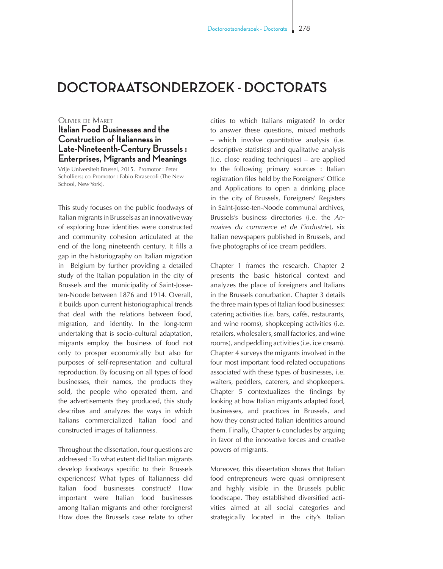## **DOCTORAATSONDERZOEK - DOCTORATS**

## Olivier de Maret

## **Italian Food Businesses and the Construction of Italianness in Late-Nineteenth-Century Brussels : Enterprises, Migrants and Meanings**

Vrije Universiteit Brussel, 2015. Promotor : Peter Scholliers; co-Promotor : Fabio Parasecoli (The New School, New York).

This study focuses on the public foodways of Italian migrants in Brussels as an innovative way of exploring how identities were constructed and community cohesion articulated at the end of the long nineteenth century. It fills a gap in the historiography on Italian migration in Belgium by further providing a detailed study of the Italian population in the city of Brussels and the municipality of Saint-Josseten-Noode between 1876 and 1914. Overall, it builds upon current historiographical trends that deal with the relations between food, migration, and identity. In the long-term undertaking that is socio-cultural adaptation, migrants employ the business of food not only to prosper economically but also for purposes of self-representation and cultural reproduction. By focusing on all types of food businesses, their names, the products they sold, the people who operated them, and the advertisements they produced, this study describes and analyzes the ways in which Italians commercialized Italian food and constructed images of Italianness.

Throughout the dissertation, four questions are addressed : To what extent did Italian migrants develop foodways specific to their Brussels experiences? What types of Italianness did Italian food businesses construct? How important were Italian food businesses among Italian migrants and other foreigners? How does the Brussels case relate to other cities to which Italians migrated? In order to answer these questions, mixed methods – which involve quantitative analysis (i.e. descriptive statistics) and qualitative analysis (i.e. close reading techniques) – are applied to the following primary sources : Italian registration files held by the Foreigners' Office and Applications to open a drinking place in the city of Brussels, Foreigners' Registers in Saint-Josse-ten-Noode communal archives, Brussels's business directories (i.e. the *Annuaires du commerce et de l'industrie*), six Italian newspapers published in Brussels, and five photographs of ice cream peddlers.

Chapter 1 frames the research. Chapter 2 presents the basic historical context and analyzes the place of foreigners and Italians in the Brussels conurbation. Chapter 3 details the three main types of Italian food businesses: catering activities (i.e. bars, cafés, restaurants, and wine rooms), shopkeeping activities (i.e. retailers, wholesalers, small factories, and wine rooms), and peddling activities (i.e. ice cream). Chapter 4 surveys the migrants involved in the four most important food-related occupations associated with these types of businesses, i.e. waiters, peddlers, caterers, and shopkeepers. Chapter 5 contextualizes the findings by looking at how Italian migrants adapted food, businesses, and practices in Brussels, and how they constructed Italian identities around them. Finally, Chapter 6 concludes by arguing in favor of the innovative forces and creative powers of migrants.

Moreover, this dissertation shows that Italian food entrepreneurs were quasi omnipresent and highly visible in the Brussels public foodscape. They established diversified activities aimed at all social categories and strategically located in the city's Italian